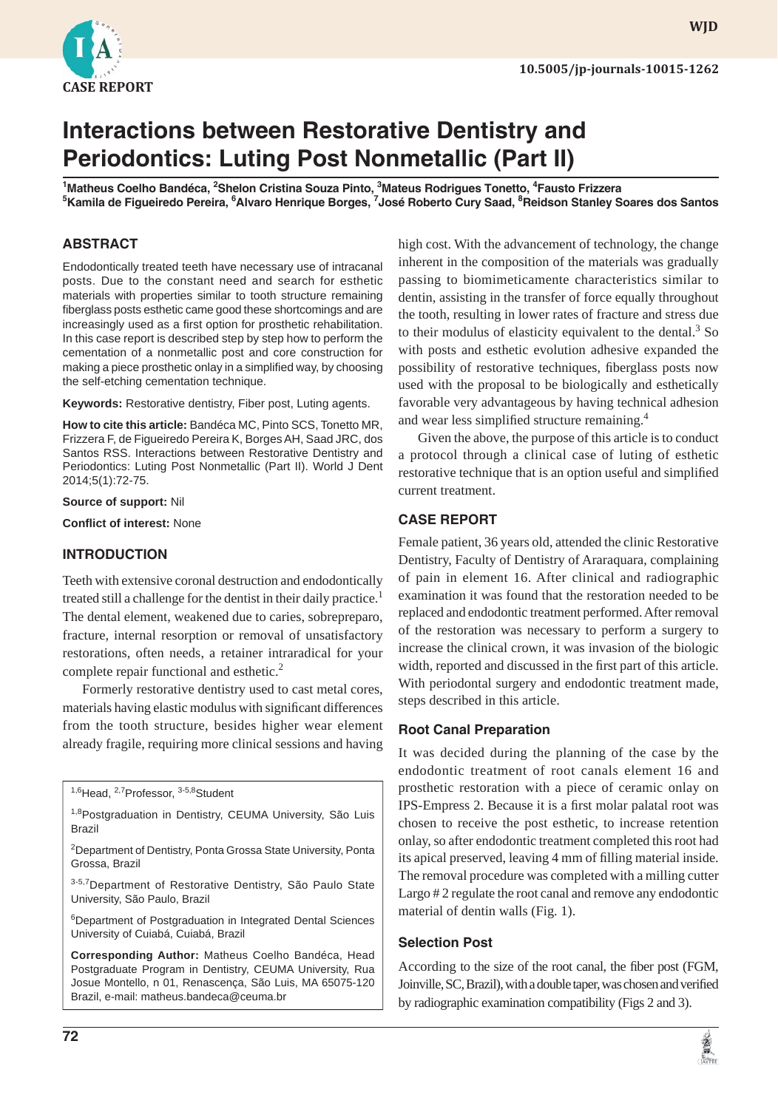

# **Interactions between Restorative Dentistry and Periodontics: Luting Post Nonmetallic (Part II)**

<sup>1</sup>Matheus Coelho Bandéca, <sup>2</sup>Shelon Cristina Souza Pinto, <sup>3</sup>Mateus Rodrigues Tonetto, <sup>4</sup>Fausto Frizzera <sup>5</sup>Kamila de Figueiredo Pereira, <sup>6</sup>Alvaro Henrique Borges, <sup>7</sup>José Roberto Cury Saad, <sup>8</sup>Reidson Stanley Soares dos Santos

## **ABSTRACT**

Endodontically treated teeth have necessary use of intracanal posts. Due to the constant need and search for esthetic materials with properties similar to tooth structure remaining fiberglass posts esthetic came good these shortcomings and are increasingly used as a first option for prosthetic rehabilitation. In this case report is described step by step how to perform the cementation of a nonmetallic post and core construction for making a piece prosthetic onlay in a simplified way, by choosing the self-etching cementation technique.

**Keywords:** Restorative dentistry, Fiber post, Luting agents.

**How to cite this article:** Bandéca MC, Pinto SCS, Tonetto MR, Frizzera F, de Figueiredo Pereira K, Borges AH, Saad JRC, dos Santos RSS. Interactions between Restorative Dentistry and Periodontics: Luting Post Nonmetallic (Part II). World J Dent 2014;5(1):72-75.

**Source of support:** Nil

**Conflict of interest: None** 

#### **INTRODUCTION**

Teeth with extensive coronal destruction and endodontically treated still a challenge for the dentist in their daily practice.<sup>1</sup> The dental element, weakened due to caries, sobrepreparo, fracture, internal resorption or removal of unsatisfactory restorations, often needs, a retainer intraradical for your complete repair functional and esthetic.<sup>2</sup>

Formerly restorative dentistry used to cast metal cores, materials having elastic modulus with significant differences from the tooth structure, besides higher wear element already fragile, requiring more clinical sessions and having

<sup>1,6</sup>Head, <sup>2,7</sup>Professor, <sup>3-5,8</sup>Student

3-5,7 Department of Restorative Dentistry, São Paulo State University, São Paulo, Brazil

<sup>6</sup>Department of Postgraduation in Integrated Dental Sciences University of Cuiabá, Cuiabá, Brazil

**Corresponding Author:** Matheus Coelho Bandéca, Head Postgraduate Program in Dentistry, CEUMA University, Rua Josue Montello, n 01, Renascença, São Luis, MA 65075-120 Brazil, e-mail: matheus.bandeca@ceuma.br

high cost. With the advancement of technology, the change inherent in the composition of the materials was gradually passing to biomimeticamente characteristics similar to dentin, assisting in the transfer of force equally throughout the tooth, resulting in lower rates of fracture and stress due to their modulus of elasticity equivalent to the dental. $3$  So with posts and esthetic evolution adhesive expanded the possibility of restorative techniques, fiberglass posts now used with the proposal to be biologically and esthetically favorable very advantageous by having technical adhesion and wear less simplified structure remaining.<sup>4</sup>

Given the above, the purpose of this article is to conduct a protocol through a clinical case of luting of esthetic restorative technique that is an option useful and simplified current treatment.

## **CASE REPORT**

Female patient, 36 years old, attended the clinic Restorative Dentistry, Faculty of Dentistry of Araraquara, complaining of pain in element 16. After clinical and radiographic examination it was found that the restoration needed to be replaced and endodontic treatment performed. After removal of the restoration was necessary to perform a surgery to increase the clinical crown, it was invasion of the biologic width, reported and discussed in the first part of this article. With periodontal surgery and endodontic treatment made, steps described in this article.

### **Root Canal Preparation**

It was decided during the planning of the case by the endodontic treatment of root canals element 16 and prosthetic restoration with a piece of ceramic onlay on IPS-Empress 2. Because it is a first molar palatal root was chosen to receive the post esthetic, to increase retention onlay, so after endodontic treatment completed this root had its apical preserved, leaving 4 mm of filling material inside. The removal procedure was completed with a milling cutter Largo # 2 regulate the root canal and remove any endodontic material of dentin walls (Fig. 1).

### **Selection Post**

According to the size of the root canal, the fiber post (FGM, Joinville, SC, Brazil), with a double taper, was chosen and verified by radiographic examination compatibility (Figs 2 and 3).



<sup>&</sup>lt;sup>1,8</sup>Postgraduation in Dentistry, CEUMA University, São Luis Brazil

<sup>&</sup>lt;sup>2</sup>Department of Dentistry, Ponta Grossa State University, Ponta Grossa, Brazil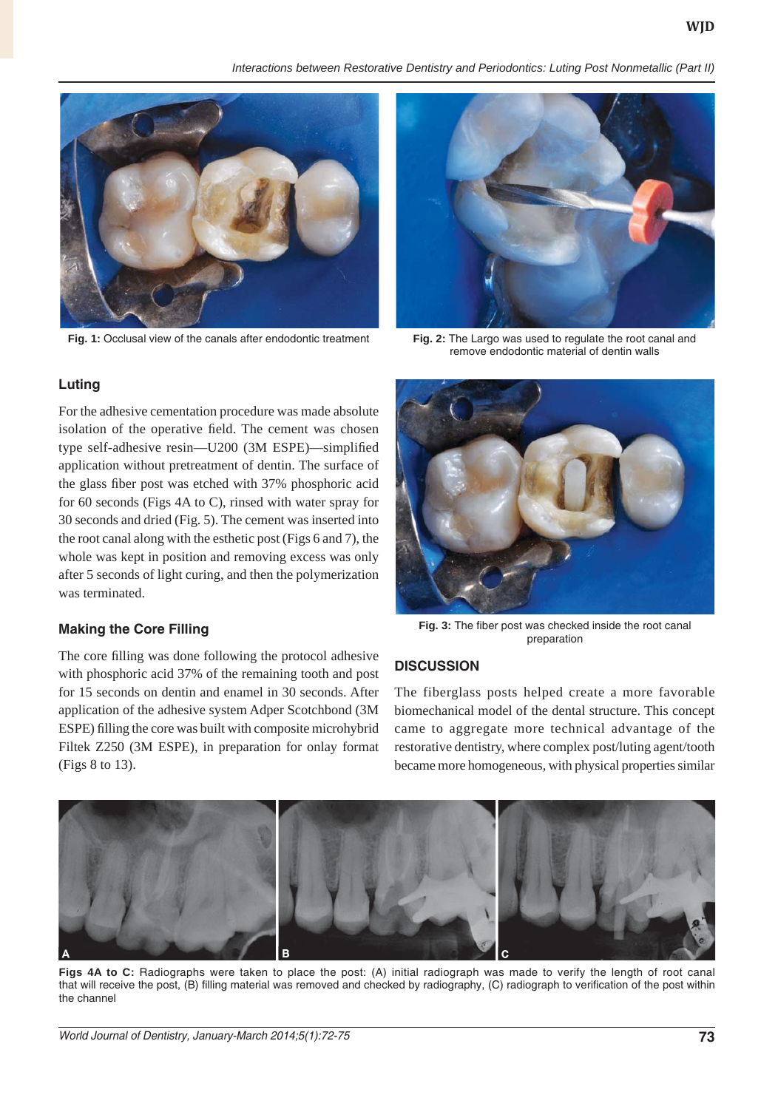*Interactions between Restorative Dentistry and Periodontics: Luting Post Nonmetallic (Part II)*



**Fig. 1:** Occlusal view of the canals after endodontic treatment **Fig. 2:** The Largo was used to regulate the root canal and



remove endodontic material of dentin walls

### **Luting**

For the adhesive cementation procedure was made absolute isolation of the operative field. The cement was chosen type self-adhesive resin—U200 (3M ESPE)—simplified application without pretreatment of dentin. The surface of the glass fiber post was etched with 37% phosphoric acid for 60 seconds (Figs 4A to C), rinsed with water spray for 30 seconds and dried (Fig. 5). The cement was inserted into the root canal along with the esthetic post (Figs 6 and 7), the whole was kept in position and removing excess was only after 5 seconds of light curing, and then the polymerization was terminated.

#### **Making the Core Filling**

The core filling was done following the protocol adhesive with phosphoric acid 37% of the remaining tooth and post for 15 seconds on dentin and enamel in 30 seconds. After application of the adhesive system Adper Scotchbond (3M ESPE) filling the core was built with composite microhybrid Filtek Z250 (3M ESPE), in preparation for onlay format (Figs 8 to 13).



Fig. 3: The fiber post was checked inside the root canal preparation

### **DISCUSSION**

The fiberglass posts helped create a more favorable biomechanical model of the dental structure. This concept came to aggregate more technical advantage of the restorative dentistry, where complex post/luting agent/tooth became more homogeneous, with physical properties similar



**Figs 4A to C:** Radiographs were taken to place the post: (A) initial radiograph was made to verify the length of root canal that will receive the post, (B) filling material was removed and checked by radiography, (C) radiograph to verification of the post within the channel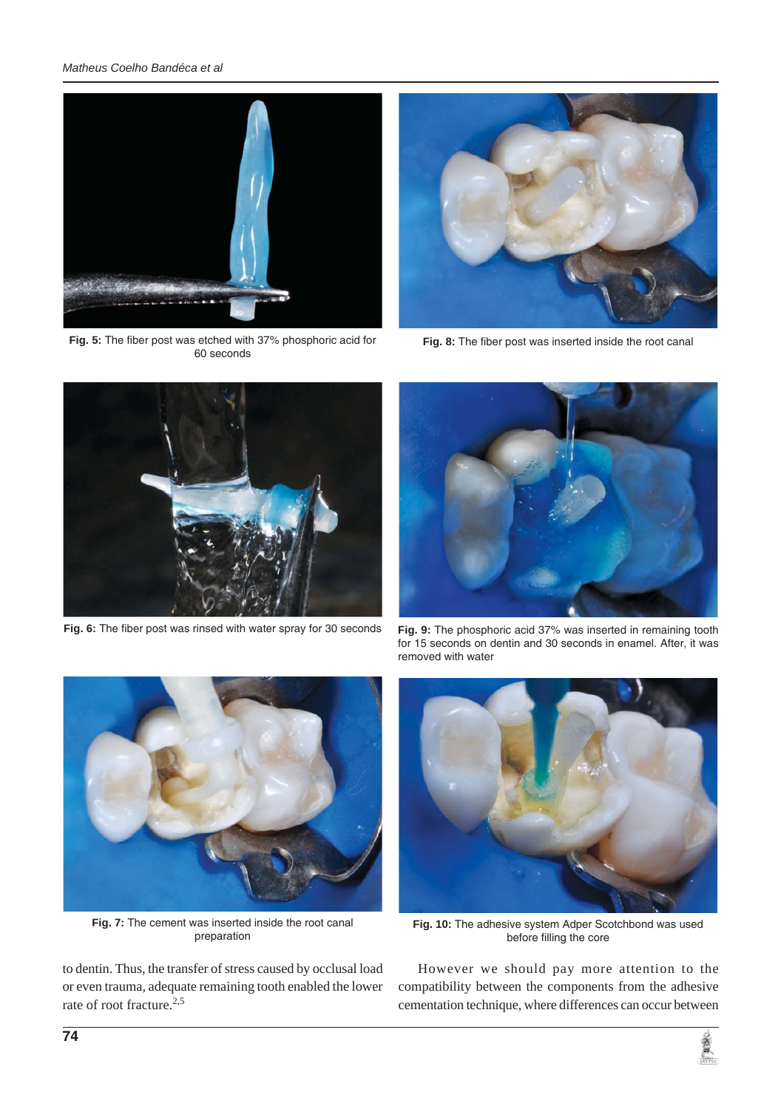#### *Matheus Coelho Bandéca et al*



Fig. 5: The fiber post was etched with 37% phosphoric acid for 60 seconds



Fig. 8: The fiber post was inserted inside the root canal



Fig. 6: The fiber post was rinsed with water spray for 30 seconds



**Fig. 9:** The phosphoric acid 37% was inserted in remaining tooth for 15 seconds on dentin and 30 seconds in enamel. After, it was removed with water



**Fig. 7:** The cement was inserted inside the root canal preparation

to dentin. Thus, the transfer of stress caused by occlusal load or even trauma, adequate remaining tooth enabled the lower rate of root fracture.<sup>2,5</sup>



**Fig. 10:** The adhesive system Adper Scotchbond was used before filling the core

However we should pay more attention to the compatibility between the components from the adhesive cementation technique, where differences can occur between